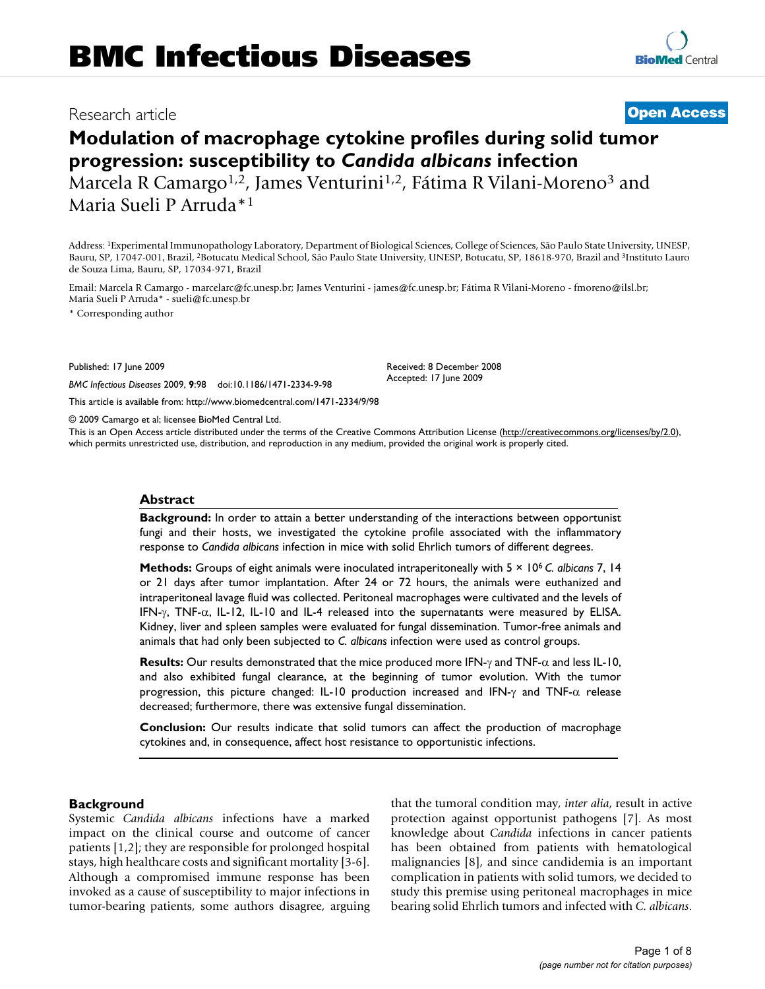# Research article **[Open Access](http://www.biomedcentral.com/info/about/charter/)**

# **Modulation of macrophage cytokine profiles during solid tumor progression: susceptibility to** *Candida albicans* **infection**

Marcela R Camargo<sup>1,2</sup>, James Venturini<sup>1,2</sup>, Fátima R Vilani-Moreno<sup>3</sup> and Maria Sueli P Arruda\*1

Address: 1Experimental Immunopathology Laboratory, Department of Biological Sciences, College of Sciences, São Paulo State University, UNESP, Bauru, SP, 17047-001, Brazil, 2Botucatu Medical School, São Paulo State University, UNESP, Botucatu, SP, 18618-970, Brazil and 3Instituto Lauro de Souza Lima, Bauru, SP, 17034-971, Brazil

Email: Marcela R Camargo - marcelarc@fc.unesp.br; James Venturini - james@fc.unesp.br; Fátima R Vilani-Moreno - fmoreno@ilsl.br; Maria Sueli P Arruda\* - sueli@fc.unesp.br

\* Corresponding author

Published: 17 June 2009

*BMC Infectious Diseases* 2009, **9**:98 doi:10.1186/1471-2334-9-98

[This article is available from: http://www.biomedcentral.com/1471-2334/9/98](http://www.biomedcentral.com/1471-2334/9/98)

© 2009 Camargo et al; licensee BioMed Central Ltd.

This is an Open Access article distributed under the terms of the Creative Commons Attribution License [\(http://creativecommons.org/licenses/by/2.0\)](http://creativecommons.org/licenses/by/2.0), which permits unrestricted use, distribution, and reproduction in any medium, provided the original work is properly cited.

Received: 8 December 2008 Accepted: 17 June 2009

#### **Abstract**

**Background:** In order to attain a better understanding of the interactions between opportunist fungi and their hosts, we investigated the cytokine profile associated with the inflammatory response to *Candida albicans* infection in mice with solid Ehrlich tumors of different degrees.

**Methods:** Groups of eight animals were inoculated intraperitoneally with 5 × 106 *C. albicans* 7, 14 or 21 days after tumor implantation. After 24 or 72 hours, the animals were euthanized and intraperitoneal lavage fluid was collected. Peritoneal macrophages were cultivated and the levels of IFN- $\gamma$ , TNF- $\alpha$ , IL-12, IL-10 and IL-4 released into the supernatants were measured by ELISA. Kidney, liver and spleen samples were evaluated for fungal dissemination. Tumor-free animals and animals that had only been subjected to *C. albicans* infection were used as control groups.

**Results:** Our results demonstrated that the mice produced more IFN-γ and TNF-α and less IL-10, and also exhibited fungal clearance, at the beginning of tumor evolution. With the tumor progression, this picture changed: IL-10 production increased and IFN-γ and TNF- $α$  release decreased; furthermore, there was extensive fungal dissemination.

**Conclusion:** Our results indicate that solid tumors can affect the production of macrophage cytokines and, in consequence, affect host resistance to opportunistic infections.

#### **Background**

Systemic *Candida albicans* infections have a marked impact on the clinical course and outcome of cancer patients [1,2]; they are responsible for prolonged hospital stays, high healthcare costs and significant mortality [3-6]. Although a compromised immune response has been invoked as a cause of susceptibility to major infections in tumor-bearing patients, some authors disagree, arguing that the tumoral condition may, *inter alia*, result in active protection against opportunist pathogens [7]. As most knowledge about *Candida* infections in cancer patients has been obtained from patients with hematological malignancies [8], and since candidemia is an important complication in patients with solid tumors, we decided to study this premise using peritoneal macrophages in mice bearing solid Ehrlich tumors and infected with *C. albicans*.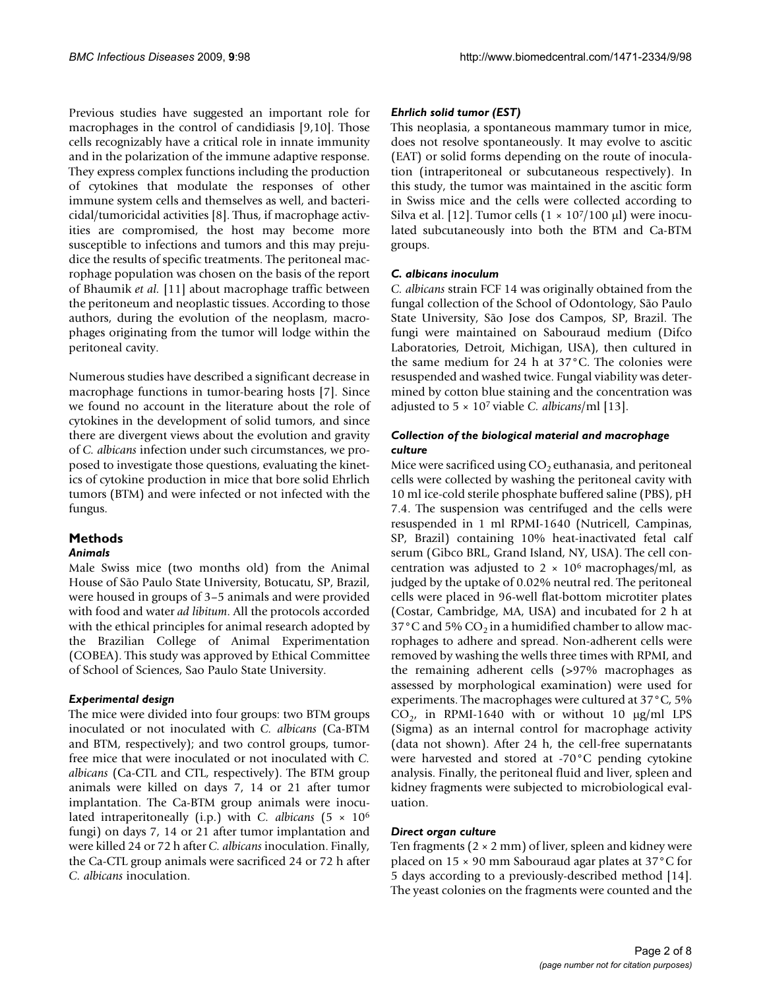Previous studies have suggested an important role for macrophages in the control of candidiasis [9,10]. Those cells recognizably have a critical role in innate immunity and in the polarization of the immune adaptive response. They express complex functions including the production of cytokines that modulate the responses of other immune system cells and themselves as well, and bactericidal/tumoricidal activities [8]. Thus, if macrophage activities are compromised, the host may become more susceptible to infections and tumors and this may prejudice the results of specific treatments. The peritoneal macrophage population was chosen on the basis of the report of Bhaumik *et al.* [11] about macrophage traffic between the peritoneum and neoplastic tissues. According to those authors, during the evolution of the neoplasm, macrophages originating from the tumor will lodge within the peritoneal cavity.

Numerous studies have described a significant decrease in macrophage functions in tumor-bearing hosts [7]. Since we found no account in the literature about the role of cytokines in the development of solid tumors, and since there are divergent views about the evolution and gravity of *C. albicans* infection under such circumstances, we proposed to investigate those questions, evaluating the kinetics of cytokine production in mice that bore solid Ehrlich tumors (BTM) and were infected or not infected with the fungus.

## **Methods**

#### *Animals*

Male Swiss mice (two months old) from the Animal House of São Paulo State University, Botucatu, SP, Brazil, were housed in groups of 3–5 animals and were provided with food and water *ad libitum*. All the protocols accorded with the ethical principles for animal research adopted by the Brazilian College of Animal Experimentation (COBEA). This study was approved by Ethical Committee of School of Sciences, Sao Paulo State University.

#### *Experimental design*

The mice were divided into four groups: two BTM groups inoculated or not inoculated with *C. albicans* (Ca-BTM and BTM, respectively); and two control groups, tumorfree mice that were inoculated or not inoculated with *C. albicans* (Ca-CTL and CTL, respectively). The BTM group animals were killed on days 7, 14 or 21 after tumor implantation. The Ca-BTM group animals were inoculated intraperitoneally (i.p.) with *C. albicans* (5 × 106 fungi) on days 7, 14 or 21 after tumor implantation and were killed 24 or 72 h after *C. albicans* inoculation. Finally, the Ca-CTL group animals were sacrificed 24 or 72 h after *C. albicans* inoculation.

### *Ehrlich solid tumor (EST)*

This neoplasia, a spontaneous mammary tumor in mice, does not resolve spontaneously. It may evolve to ascitic (EAT) or solid forms depending on the route of inoculation (intraperitoneal or subcutaneous respectively). In this study, the tumor was maintained in the ascitic form in Swiss mice and the cells were collected according to Silva et al. [12]. Tumor cells  $(1 \times 10^7/100 \,\mu$ ] were inoculated subcutaneously into both the BTM and Ca-BTM groups.

#### *C. albicans inoculum*

*C. albicans* strain FCF 14 was originally obtained from the fungal collection of the School of Odontology, São Paulo State University, São Jose dos Campos, SP, Brazil. The fungi were maintained on Sabouraud medium (Difco Laboratories, Detroit, Michigan, USA), then cultured in the same medium for 24 h at 37°C. The colonies were resuspended and washed twice. Fungal viability was determined by cotton blue staining and the concentration was adjusted to 5 × 107 viable *C. albicans*/ml [13].

#### *Collection of the biological material and macrophage culture*

Mice were sacrificed using  $CO<sub>2</sub>$  euthanasia, and peritoneal cells were collected by washing the peritoneal cavity with 10 ml ice-cold sterile phosphate buffered saline (PBS), pH 7.4. The suspension was centrifuged and the cells were resuspended in 1 ml RPMI-1640 (Nutricell, Campinas, SP, Brazil) containing 10% heat-inactivated fetal calf serum (Gibco BRL, Grand Island, NY, USA). The cell concentration was adjusted to  $2 \times 10^6$  macrophages/ml, as judged by the uptake of 0.02% neutral red. The peritoneal cells were placed in 96-well flat-bottom microtiter plates (Costar, Cambridge, MA, USA) and incubated for 2 h at 37°C and 5%  $CO<sub>2</sub>$  in a humidified chamber to allow macrophages to adhere and spread. Non-adherent cells were removed by washing the wells three times with RPMI, and the remaining adherent cells (>97% macrophages as assessed by morphological examination) were used for experiments. The macrophages were cultured at 37°C, 5%  $CO<sub>2</sub>$ , in RPMI-1640 with or without 10 μg/ml LPS (Sigma) as an internal control for macrophage activity (data not shown). After 24 h, the cell-free supernatants were harvested and stored at -70°C pending cytokine analysis. Finally, the peritoneal fluid and liver, spleen and kidney fragments were subjected to microbiological evaluation.

#### *Direct organ culture*

Ten fragments  $(2 \times 2 \text{ mm})$  of liver, spleen and kidney were placed on 15 × 90 mm Sabouraud agar plates at 37°C for 5 days according to a previously-described method [\[14](#page-6-0)]. The yeast colonies on the fragments were counted and the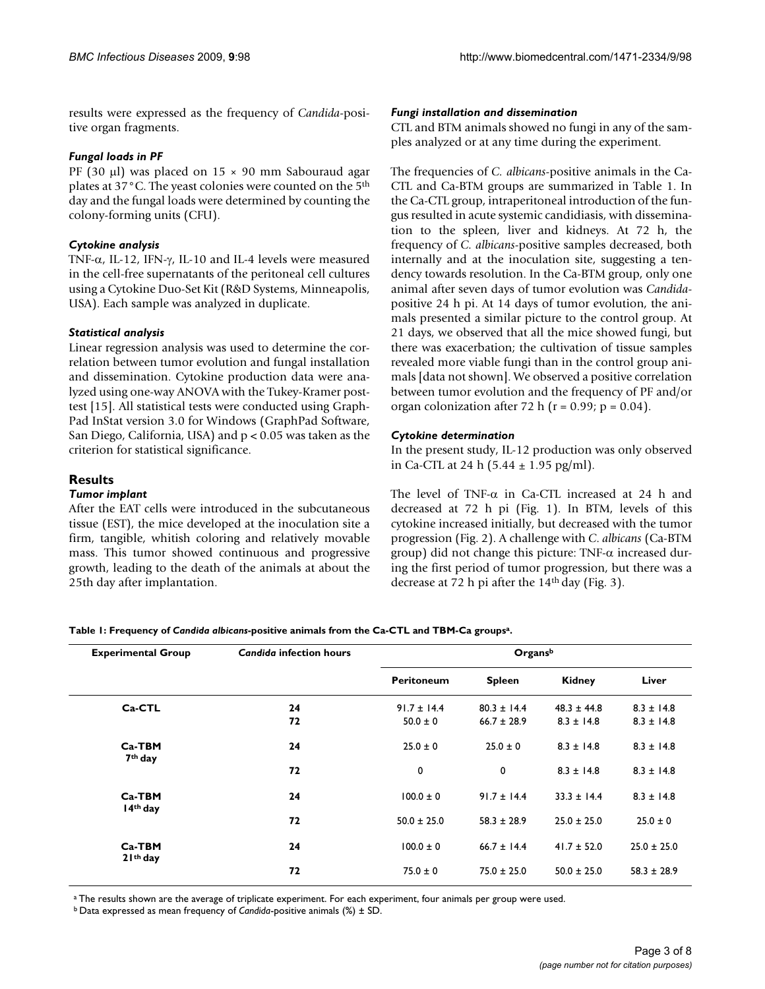results were expressed as the frequency of *Candida*-positive organ fragments.

#### *Fungal loads in PF*

PF (30 μl) was placed on 15 × 90 mm Sabouraud agar plates at 37°C. The yeast colonies were counted on the 5th day and the fungal loads were determined by counting the colony-forming units (CFU).

#### *Cytokine analysis*

TNF-α, IL-12, IFN-γ, IL-10 and IL-4 levels were measured in the cell-free supernatants of the peritoneal cell cultures using a Cytokine Duo-Set Kit (R&D Systems, Minneapolis, USA). Each sample was analyzed in duplicate.

#### *Statistical analysis*

Linear regression analysis was used to determine the correlation between tumor evolution and fungal installation and dissemination. Cytokine production data were analyzed using one-way ANOVA with the Tukey-Kramer posttest [15]. All statistical tests were conducted using Graph-Pad InStat version 3.0 for Windows (GraphPad Software, San Diego, California, USA) and p < 0.05 was taken as the criterion for statistical significance.

#### **Results**

#### *Tumor implant*

After the EAT cells were introduced in the subcutaneous tissue (EST), the mice developed at the inoculation site a firm, tangible, whitish coloring and relatively movable mass. This tumor showed continuous and progressive growth, leading to the death of the animals at about the 25th day after implantation.

#### *Fungi installation and dissemination*

CTL and BTM animals showed no fungi in any of the samples analyzed or at any time during the experiment.

The frequencies of *C. albicans*-positive animals in the Ca-CTL and Ca-BTM groups are summarized in Table 1. In the Ca-CTL group, intraperitoneal introduction of the fungus resulted in acute systemic candidiasis, with dissemination to the spleen, liver and kidneys. At 72 h, the frequency of *C. albicans*-positive samples decreased, both internally and at the inoculation site, suggesting a tendency towards resolution. In the Ca-BTM group, only one animal after seven days of tumor evolution was *Candida*positive 24 h pi. At 14 days of tumor evolution, the animals presented a similar picture to the control group. At 21 days, we observed that all the mice showed fungi, but there was exacerbation; the cultivation of tissue samples revealed more viable fungi than in the control group animals [data not shown]. We observed a positive correlation between tumor evolution and the frequency of PF and/or organ colonization after 72 h ( $r = 0.99$ ;  $p = 0.04$ ).

#### *Cytokine determination*

In the present study, IL-12 production was only observed in Ca-CTL at 24 h (5.44 ± 1.95 pg/ml).

The level of TNF-α in Ca-CTL increased at 24 h and decreased at 72 h pi (Fig. 1). In BTM, levels of this cytokine increased initially, but decreased with the tumor progression (Fig. 2). A challenge with *C*. *albicans* (Ca-BTM group) did not change this picture: TNF- $\alpha$  increased during the first period of tumor progression, but there was a decrease at 72 h pi after the  $14<sup>th</sup>$  day (Fig. 3).

**Table 1: Frequency of** *Candida albicans***-positive animals from the Ca-CTL and TBM-Ca groupsa.**

| <b>Experimental Group</b>       | <b>Candida infection hours</b> | Organsb                         |                                    |                                   |                                  |
|---------------------------------|--------------------------------|---------------------------------|------------------------------------|-----------------------------------|----------------------------------|
|                                 |                                | <b>Peritoneum</b>               | <b>Spleen</b>                      | Kidney                            | Liver                            |
| Ca-CTL                          | 24<br>72                       | $91.7 \pm 14.4$<br>$50.0 \pm 0$ | $80.3 \pm 14.4$<br>$66.7 \pm 28.9$ | $48.3 \pm 44.8$<br>$8.3 \pm 14.8$ | $8.3 \pm 14.8$<br>$8.3 \pm 14.8$ |
| $Ca-TBM$<br>7 <sup>th</sup> day | 24                             | $25.0 \pm 0$                    | $25.0 \pm 0$                       | $8.3 \pm 14.8$                    | $8.3 \pm 14.8$                   |
| $Ca-TBM$<br>$14th$ day          | 72<br>24                       | 0<br>$100.0 \pm 0$              | 0<br>$91.7 \pm 14.4$               | $8.3 \pm 14.8$<br>$33.3 \pm 14.4$ | $8.3 \pm 14.8$<br>$8.3 \pm 14.8$ |
|                                 | 72                             | $50.0 \pm 25.0$                 | $58.3 \pm 28.9$                    | $25.0 \pm 25.0$                   | $25.0 \pm 0$                     |
| $Ca-TBM$<br>$21th$ day          | 24                             | $100.0 \pm 0$                   | $66.7 \pm 14.4$                    | $41.7 \pm 52.0$                   | $25.0 \pm 25.0$                  |
|                                 | 72                             | $75.0 \pm 0$                    | $75.0 \pm 25.0$                    | $50.0 \pm 25.0$                   | $58.3 \pm 28.9$                  |

<sup>a</sup> The results shown are the average of triplicate experiment. For each experiment, four animals per group were used.

b Data expressed as mean frequency of *Candida*-positive animals (%) ± SD.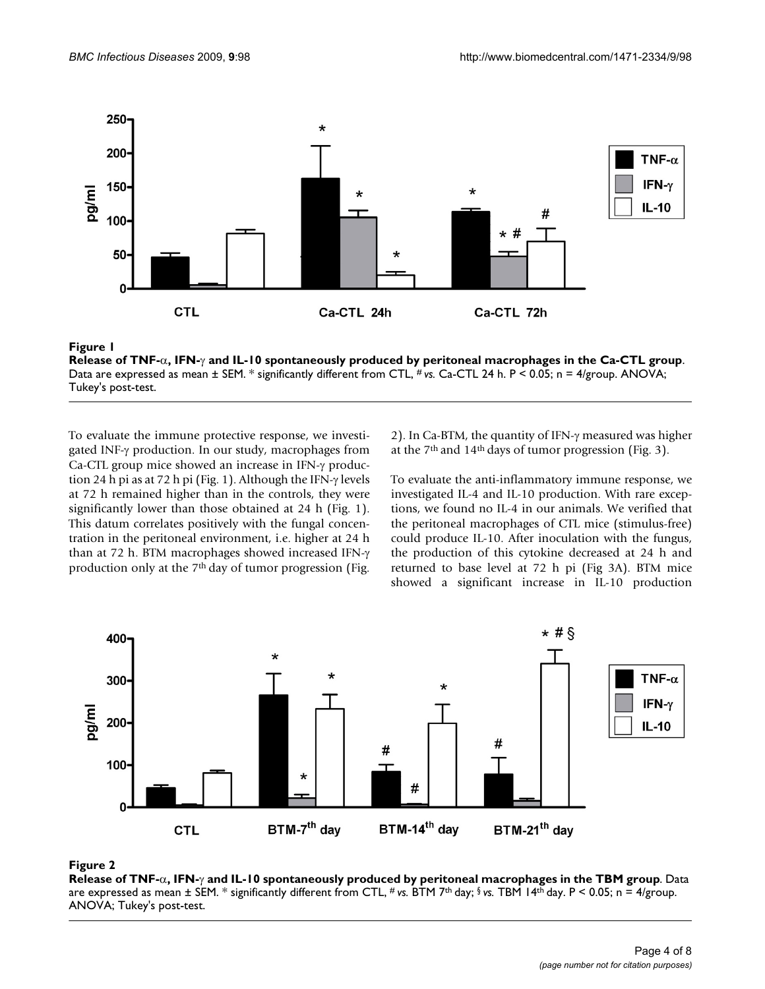

**Figure 1** a, IFN-γ and IL-10 spontaneously produced by perioduced by perioduced by perioduced by perioduced by p **Release of TNF-**α**, IFN-**γ **and IL-10 spontaneously produced by peritoneal macrophages in the Ca-CTL group**. Data are expressed as mean  $\pm$  SEM. \* significantly different from CTL, # vs. Ca-CTL 24 h. P < 0.05; n = 4/group. ANOVA; Tukey's post-test.

To evaluate the immune protective response, we investigated INF-γ production. In our study, macrophages from Ca-CTL group mice showed an increase in IFN-γ production 24 h pi as at 72 h pi (Fig. 1). Although the IFN-γ levels at 72 h remained higher than in the controls, they were significantly lower than those obtained at 24 h (Fig. 1). This datum correlates positively with the fungal concentration in the peritoneal environment, i.e. higher at 24 h than at 72 h. BTM macrophages showed increased IFN-γ production only at the 7th day of tumor progression (Fig.

2). In Ca-BTM, the quantity of IFN-γ measured was higher at the  $7<sup>th</sup>$  and  $14<sup>th</sup>$  days of tumor progression (Fig. 3).

To evaluate the anti-inflammatory immune response, we investigated IL-4 and IL-10 production. With rare exceptions, we found no IL-4 in our animals. We verified that the peritoneal macrophages of CTL mice (stimulus-free) could produce IL-10. After inoculation with the fungus, the production of this cytokine decreased at 24 h and returned to base level at 72 h pi (Fig 3A). BTM mice showed a significant increase in IL-10 production



### **Figure 2** a, IFN-γ and IL-10 spontaneously produced by perioduced by perioduced by perioduced by perioduced by p

**Release of TNF-**α**, IFN-**γ **and IL-10 spontaneously produced by peritoneal macrophages in the TBM group**. Data are expressed as mean ± SEM. \* significantly different from CTL, # *vs.* BTM 7th day; § *vs.* TBM 14th day. P < 0.05; n = 4/group. ANOVA; Tukey's post-test.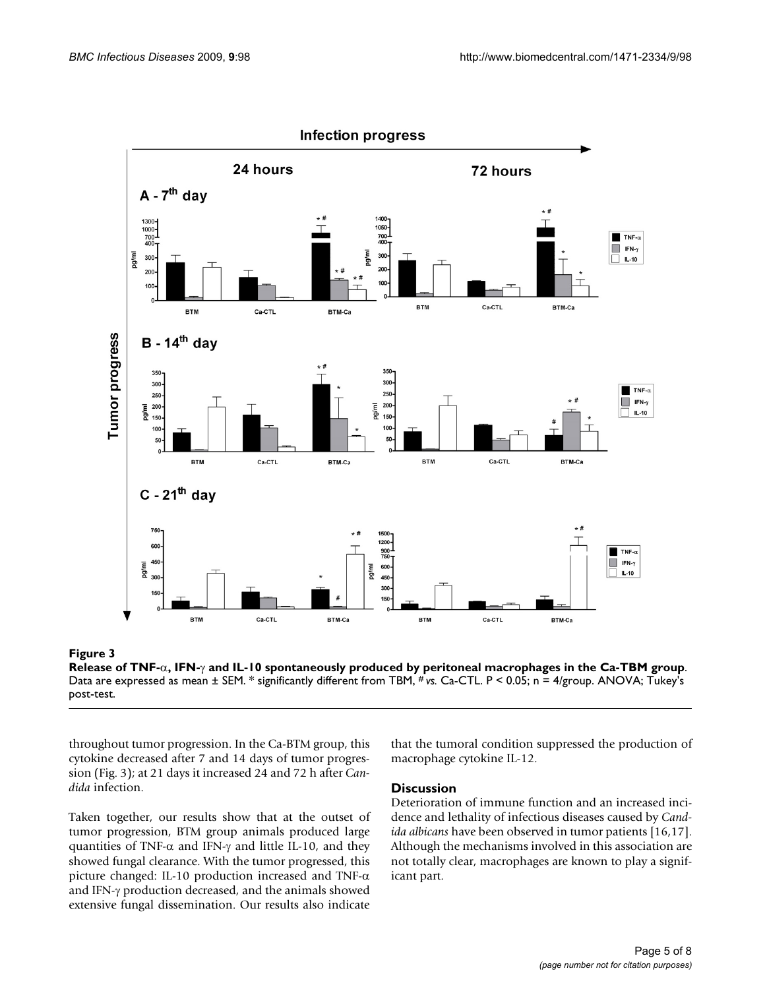

**Release of TNF-**α**, IFN-**γ **and IL-10 spontaneously produced by peritoneal macrophages in the Ca-TBM group**. Data are expressed as mean ± SEM. \* significantly different from TBM, # *vs.* Ca-CTL. P < 0.05; n = 4/group. ANOVA; Tukey's post-test.

throughout tumor progression. In the Ca-BTM group, this cytokine decreased after 7 and 14 days of tumor progression (Fig. 3); at 21 days it increased 24 and 72 h after *Candida* infection.

Taken together, our results show that at the outset of tumor progression, BTM group animals produced large quantities of TNF- $\alpha$  and IFN- $\gamma$  and little IL-10, and they showed fungal clearance. With the tumor progressed, this picture changed: IL-10 production increased and TNF- $\alpha$ and IFN-γ production decreased, and the animals showed extensive fungal dissemination. Our results also indicate that the tumoral condition suppressed the production of macrophage cytokine IL-12.

#### **Discussion**

Deterioration of immune function and an increased incidence and lethality of infectious diseases caused by *Candida albicans* have been observed in tumor patients [16,17]. Although the mechanisms involved in this association are not totally clear, macrophages are known to play a significant part.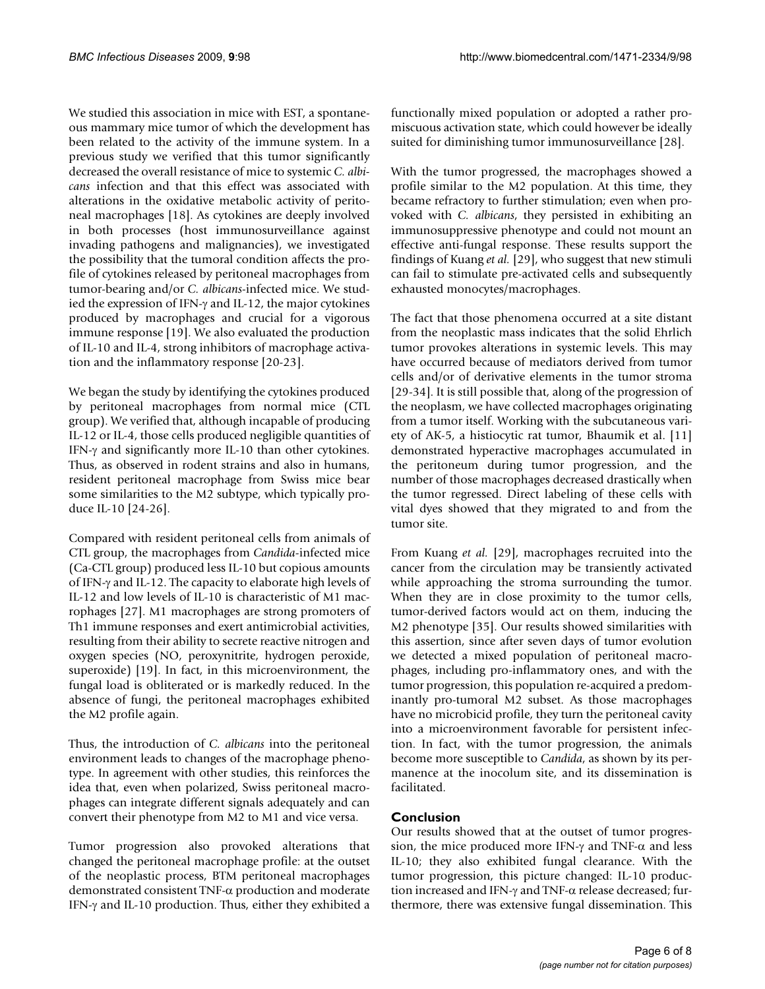We studied this association in mice with EST, a spontaneous mammary mice tumor of which the development has been related to the activity of the immune system. In a previous study we verified that this tumor significantly decreased the overall resistance of mice to systemic *C. albicans* infection and that this effect was associated with alterations in the oxidative metabolic activity of peritoneal macrophages [18]. As cytokines are deeply involved in both processes (host immunosurveillance against invading pathogens and malignancies), we investigated the possibility that the tumoral condition affects the profile of cytokines released by peritoneal macrophages from tumor-bearing and/or *C. albicans*-infected mice. We studied the expression of IFN-γ and IL-12, the major cytokines produced by macrophages and crucial for a vigorous immune response [19]. We also evaluated the production of IL-10 and IL-4, strong inhibitors of macrophage activation and the inflammatory response [20-23].

We began the study by identifying the cytokines produced by peritoneal macrophages from normal mice (CTL group). We verified that, although incapable of producing IL-12 or IL-4, those cells produced negligible quantities of IFN-γ and significantly more IL-10 than other cytokines. Thus, as observed in rodent strains and also in humans, resident peritoneal macrophage from Swiss mice bear some similarities to the M2 subtype, which typically produce IL-10 [24-26].

Compared with resident peritoneal cells from animals of CTL group, the macrophages from *Candida*-infected mice (Ca-CTL group) produced less IL-10 but copious amounts of IFN-γ and IL-12. The capacity to elaborate high levels of IL-12 and low levels of IL-10 is characteristic of M1 macrophages [27]. M1 macrophages are strong promoters of Th1 immune responses and exert antimicrobial activities, resulting from their ability to secrete reactive nitrogen and oxygen species (NO, peroxynitrite, hydrogen peroxide, superoxide) [19]. In fact, in this microenvironment, the fungal load is obliterated or is markedly reduced. In the absence of fungi, the peritoneal macrophages exhibited the M2 profile again.

Thus, the introduction of *C. albicans* into the peritoneal environment leads to changes of the macrophage phenotype. In agreement with other studies, this reinforces the idea that, even when polarized, Swiss peritoneal macrophages can integrate different signals adequately and can convert their phenotype from M2 to M1 and vice versa.

Tumor progression also provoked alterations that changed the peritoneal macrophage profile: at the outset of the neoplastic process, BTM peritoneal macrophages demonstrated consistent TNF-α production and moderate IFN-γ and IL-10 production. Thus, either they exhibited a

functionally mixed population or adopted a rather promiscuous activation state, which could however be ideally suited for diminishing tumor immunosurveillance [28].

With the tumor progressed, the macrophages showed a profile similar to the M2 population. At this time, they became refractory to further stimulation; even when provoked with *C. albicans*, they persisted in exhibiting an immunosuppressive phenotype and could not mount an effective anti-fungal response. These results support the findings of Kuang *et al.* [29], who suggest that new stimuli can fail to stimulate pre-activated cells and subsequently exhausted monocytes/macrophages.

The fact that those phenomena occurred at a site distant from the neoplastic mass indicates that the solid Ehrlich tumor provokes alterations in systemic levels. This may have occurred because of mediators derived from tumor cells and/or of derivative elements in the tumor stroma [29-34]. It is still possible that, along of the progression of the neoplasm, we have collected macrophages originating from a tumor itself. Working with the subcutaneous variety of AK-5, a histiocytic rat tumor, Bhaumik et al. [11] demonstrated hyperactive macrophages accumulated in the peritoneum during tumor progression, and the number of those macrophages decreased drastically when the tumor regressed. Direct labeling of these cells with vital dyes showed that they migrated to and from the tumor site.

From Kuang *et al.* [29], macrophages recruited into the cancer from the circulation may be transiently activated while approaching the stroma surrounding the tumor. When they are in close proximity to the tumor cells, tumor-derived factors would act on them, inducing the M2 phenotype [35]. Our results showed similarities with this assertion, since after seven days of tumor evolution we detected a mixed population of peritoneal macrophages, including pro-inflammatory ones, and with the tumor progression, this population re-acquired a predominantly pro-tumoral M2 subset. As those macrophages have no microbicid profile, they turn the peritoneal cavity into a microenvironment favorable for persistent infection. In fact, with the tumor progression, the animals become more susceptible to *Candida*, as shown by its permanence at the inocolum site, and its dissemination is facilitated.

### **Conclusion**

Our results showed that at the outset of tumor progression, the mice produced more IFN-γ and TNF- $α$  and less IL-10; they also exhibited fungal clearance. With the tumor progression, this picture changed: IL-10 production increased and IFN-γ and TNF-α release decreased; furthermore, there was extensive fungal dissemination. This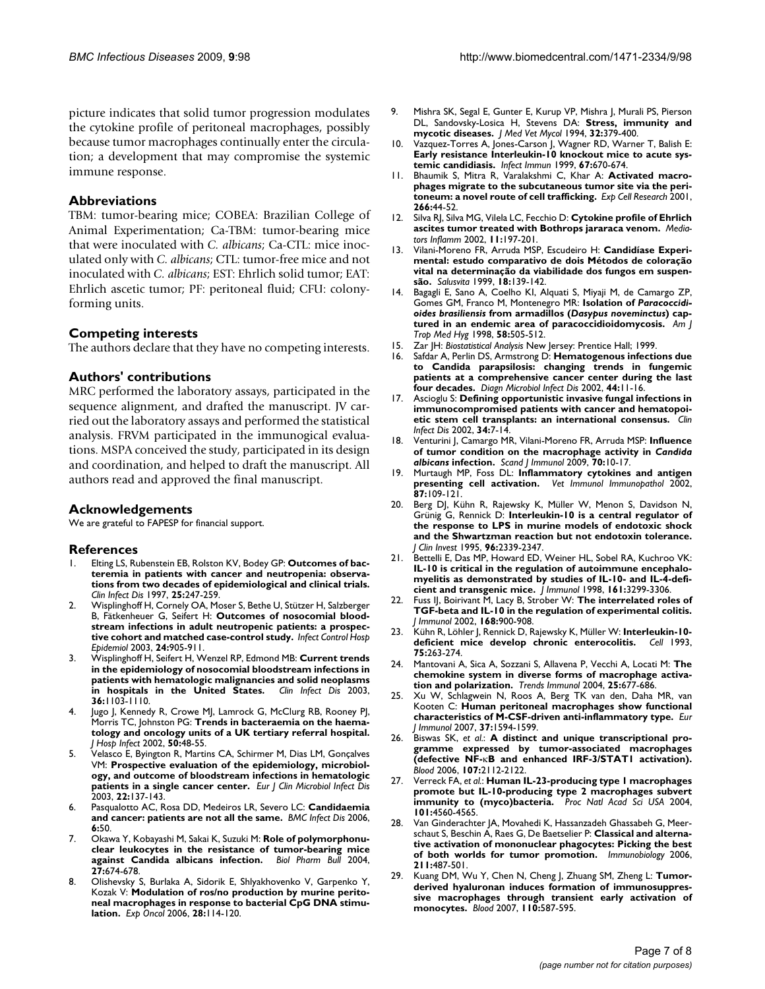picture indicates that solid tumor progression modulates the cytokine profile of peritoneal macrophages, possibly because tumor macrophages continually enter the circulation; a development that may compromise the systemic immune response.

#### **Abbreviations**

TBM: tumor-bearing mice; COBEA: Brazilian College of Animal Experimentation; Ca-TBM: tumor-bearing mice that were inoculated with *C. albicans*; Ca-CTL: mice inoculated only with *C. albicans*; CTL: tumor-free mice and not inoculated with *C. albicans*; EST: Ehrlich solid tumor; EAT: Ehrlich ascetic tumor; PF: peritoneal fluid; CFU: colonyforming units.

#### **Competing interests**

The authors declare that they have no competing interests.

#### **Authors' contributions**

MRC performed the laboratory assays, participated in the sequence alignment, and drafted the manuscript. JV carried out the laboratory assays and performed the statistical analysis. FRVM participated in the immunogical evaluations. MSPA conceived the study, participated in its design and coordination, and helped to draft the manuscript. All authors read and approved the final manuscript.

#### **Acknowledgements**

We are grateful to FAPESP for financial support.

#### **References**

- 1. Elting LS, Rubenstein EB, Rolston KV, Bodey GP: **[Outcomes of bac](http://www.ncbi.nlm.nih.gov/entrez/query.fcgi?cmd=Retrieve&db=PubMed&dopt=Abstract&list_uids=9332520)[teremia in patients with cancer and neutropenia: observa](http://www.ncbi.nlm.nih.gov/entrez/query.fcgi?cmd=Retrieve&db=PubMed&dopt=Abstract&list_uids=9332520)tions from two decades of epidemiological and clinical trials.** *Clin Infect Dis* 1997, **25:**247-259.
- 2. Wisplinghoff H, Cornely OA, Moser S, Bethe U, Stützer H, Salzberger B, Fätkenheuer G, Seifert H: **[Outcomes of nosocomial blood](http://www.ncbi.nlm.nih.gov/entrez/query.fcgi?cmd=Retrieve&db=PubMed&dopt=Abstract&list_uids=14700405)[stream infections in adult neutropenic patients: a prospec](http://www.ncbi.nlm.nih.gov/entrez/query.fcgi?cmd=Retrieve&db=PubMed&dopt=Abstract&list_uids=14700405)[tive cohort and matched case-control study.](http://www.ncbi.nlm.nih.gov/entrez/query.fcgi?cmd=Retrieve&db=PubMed&dopt=Abstract&list_uids=14700405)** *Infect Control Hosp Epidemiol* 2003, **24:**905-911.
- 3. Wisplinghoff H, Seifert H, Wenzel RP, Edmond MB: **[Current trends](http://www.ncbi.nlm.nih.gov/entrez/query.fcgi?cmd=Retrieve&db=PubMed&dopt=Abstract&list_uids=12715303) [in the epidemiology of nosocomial bloodstream infections in](http://www.ncbi.nlm.nih.gov/entrez/query.fcgi?cmd=Retrieve&db=PubMed&dopt=Abstract&list_uids=12715303) patients with hematologic malignancies and solid neoplasms [in hospitals in the United States.](http://www.ncbi.nlm.nih.gov/entrez/query.fcgi?cmd=Retrieve&db=PubMed&dopt=Abstract&list_uids=12715303)** *Clin Infect Dis* 2003, **36:**1103-1110.
- 4. Jugo J, Kennedy R, Crowe MJ, Lamrock G, McClurg RB, Rooney PJ, Morris TC, Johnston PG: **[Trends in bacteraemia on the haema](http://www.ncbi.nlm.nih.gov/entrez/query.fcgi?cmd=Retrieve&db=PubMed&dopt=Abstract&list_uids=11825052)[tology and oncology units of a UK tertiary referral hospital.](http://www.ncbi.nlm.nih.gov/entrez/query.fcgi?cmd=Retrieve&db=PubMed&dopt=Abstract&list_uids=11825052)** *J Hosp Infect* 2002, **50:**48-55.
- 5. Velasco E, Byington R, Martins CA, Schirmer M, Dias LM, Gonçalves VM: **[Prospective evaluation of the epidemiology, microbiol](http://www.ncbi.nlm.nih.gov/entrez/query.fcgi?cmd=Retrieve&db=PubMed&dopt=Abstract&list_uids=12649710)[ogy, and outcome of bloodstream infections in hematologic](http://www.ncbi.nlm.nih.gov/entrez/query.fcgi?cmd=Retrieve&db=PubMed&dopt=Abstract&list_uids=12649710) [patients in a single cancer center.](http://www.ncbi.nlm.nih.gov/entrez/query.fcgi?cmd=Retrieve&db=PubMed&dopt=Abstract&list_uids=12649710)** *Eur J Clin Microbiol Infect Dis* 2003, **22:**137-143.
- 6. Pasqualotto AC, Rosa DD, Medeiros LR, Severo LC: **[Candidaemia](http://www.ncbi.nlm.nih.gov/entrez/query.fcgi?cmd=Retrieve&db=PubMed&dopt=Abstract&list_uids=16542444) [and cancer: patients are not all the same.](http://www.ncbi.nlm.nih.gov/entrez/query.fcgi?cmd=Retrieve&db=PubMed&dopt=Abstract&list_uids=16542444)** *BMC Infect Dis* 2006, **6:**50.
- 7. Okawa Y, Kobayashi M, Sakai K, Suzuki M: **[Role of polymorphonu](http://www.ncbi.nlm.nih.gov/entrez/query.fcgi?cmd=Retrieve&db=PubMed&dopt=Abstract&list_uids=15133243)[clear leukocytes in the resistance of tumor-bearing mice](http://www.ncbi.nlm.nih.gov/entrez/query.fcgi?cmd=Retrieve&db=PubMed&dopt=Abstract&list_uids=15133243) [against Candida albicans infection.](http://www.ncbi.nlm.nih.gov/entrez/query.fcgi?cmd=Retrieve&db=PubMed&dopt=Abstract&list_uids=15133243)** *Biol Pharm Bull* 2004, **27:**674-678.
- 8. Olishevsky S, Burlaka A, Sidorik E, Shlyakhovenko V, Garpenko Y, Kozak V: **[Modulation of ros/no production by murine perito](http://www.ncbi.nlm.nih.gov/entrez/query.fcgi?cmd=Retrieve&db=PubMed&dopt=Abstract&list_uids=16837901)[neal macrophages in response to bacterial CpG DNA stimu](http://www.ncbi.nlm.nih.gov/entrez/query.fcgi?cmd=Retrieve&db=PubMed&dopt=Abstract&list_uids=16837901)[lation.](http://www.ncbi.nlm.nih.gov/entrez/query.fcgi?cmd=Retrieve&db=PubMed&dopt=Abstract&list_uids=16837901)** *Exp Oncol* 2006, **28:**114-120.
- 9. Mishra SK, Segal E, Gunter E, Kurup VP, Mishra J, Murali PS, Pierson DL, Sandovsky-Losica H, Stevens DA: **[Stress, immunity and](http://www.ncbi.nlm.nih.gov/entrez/query.fcgi?cmd=Retrieve&db=PubMed&dopt=Abstract&list_uids=7722800) [mycotic diseases.](http://www.ncbi.nlm.nih.gov/entrez/query.fcgi?cmd=Retrieve&db=PubMed&dopt=Abstract&list_uids=7722800)** *J Med Vet Mycol* 1994, **32:**379-400.
- 10. Vazquez-Torres A, Jones-Carson J, Wagner RD, Warner T, Balish E: **[Early resistance Interleukin-10 knockout mice to acute sys](http://www.ncbi.nlm.nih.gov/entrez/query.fcgi?cmd=Retrieve&db=PubMed&dopt=Abstract&list_uids=9916075)[temic candidiasis.](http://www.ncbi.nlm.nih.gov/entrez/query.fcgi?cmd=Retrieve&db=PubMed&dopt=Abstract&list_uids=9916075)** *Infect Immun* 1999, **67:**670-674.
- 11. Bhaumik S, Mitra R, Varalakshmi C, Khar A: **Activated macrophages migrate to the subcutaneous tumor site via the peritoneum: a novel route of cell trafficking.** *Exp Cell Research* 2001, **266:**44-52.
- 12. Silva RJ, Silva MG, Vilela LC, Fecchio D: **[Cytokine profile of Ehrlich](http://www.ncbi.nlm.nih.gov/entrez/query.fcgi?cmd=Retrieve&db=PubMed&dopt=Abstract&list_uids=12396470) [ascites tumor treated with Bothrops jararaca venom.](http://www.ncbi.nlm.nih.gov/entrez/query.fcgi?cmd=Retrieve&db=PubMed&dopt=Abstract&list_uids=12396470)** *Mediators Inflamm* 2002, **11:**197-201.
- 13. Vilani-Moreno FR, Arruda MSP, Escudeiro H: **Candidíase Experimental: estudo comparativo de dois Métodos de coloração vital na determinação da viabilidade dos fungos em suspensão.** *Salusvita* 1999, **18:**139-142.
- <span id="page-6-0"></span>14. Bagagli E, Sano A, Coelho KI, Alquati S, Miyaji M, de Camargo ZP, Gomes GM, Franco M, Montenegro MR: **Isolation of** *Paracoccidioides brasiliensis* **from armadillos (***Dasypus noveminctus***[\) cap](http://www.ncbi.nlm.nih.gov/entrez/query.fcgi?cmd=Retrieve&db=PubMed&dopt=Abstract&list_uids=9574800)[tured in an endemic area of paracoccidioidomycosis.](http://www.ncbi.nlm.nih.gov/entrez/query.fcgi?cmd=Retrieve&db=PubMed&dopt=Abstract&list_uids=9574800)** *Am J Trop Med Hyg* 1998, **58:**505-512.
- 15. Zar JH: *Biostatistical Analysis* New Jersey: Prentice Hall; 1999.
- 16. Safdar A, Perlin DS, Armstrong D: **[Hematogenous infections due](http://www.ncbi.nlm.nih.gov/entrez/query.fcgi?cmd=Retrieve&db=PubMed&dopt=Abstract&list_uids=12376025) [to Candida parapsilosis: changing trends in fungemic](http://www.ncbi.nlm.nih.gov/entrez/query.fcgi?cmd=Retrieve&db=PubMed&dopt=Abstract&list_uids=12376025) patients at a comprehensive cancer center during the last [four decades.](http://www.ncbi.nlm.nih.gov/entrez/query.fcgi?cmd=Retrieve&db=PubMed&dopt=Abstract&list_uids=12376025)** *Diagn Microbiol Infect Dis* 2002, **44:**11-16.
- 17. Ascioglu S: **[Defining opportunistic invasive fungal infections in](http://www.ncbi.nlm.nih.gov/entrez/query.fcgi?cmd=Retrieve&db=PubMed&dopt=Abstract&list_uids=11731939) [immunocompromised patients with cancer and hematopoi](http://www.ncbi.nlm.nih.gov/entrez/query.fcgi?cmd=Retrieve&db=PubMed&dopt=Abstract&list_uids=11731939)[etic stem cell transplants: an international consensus.](http://www.ncbi.nlm.nih.gov/entrez/query.fcgi?cmd=Retrieve&db=PubMed&dopt=Abstract&list_uids=11731939)** *Clin Infect Dis* 2002, **34:**7-14.
- 18. Venturini J, Camargo MR, Vilani-Moreno FR, Arruda MSP: **Influence of tumor condition on the macrophage activity in** *Candida albicans* **[infection.](http://www.ncbi.nlm.nih.gov/entrez/query.fcgi?cmd=Retrieve&db=PubMed&dopt=Abstract&list_uids=19522762)** *Scand J Immunol* 2009, **70:**10-17.
- 19. Murtaugh MP, Foss DL: **[Inflammatory cytokines and antigen](http://www.ncbi.nlm.nih.gov/entrez/query.fcgi?cmd=Retrieve&db=PubMed&dopt=Abstract&list_uids=12072225) [presenting cell activation.](http://www.ncbi.nlm.nih.gov/entrez/query.fcgi?cmd=Retrieve&db=PubMed&dopt=Abstract&list_uids=12072225)** *Vet Immunol Immunopathol* 2002, **87:**109-121.
- 20. Berg DJ, Kühn R, Rajewsky K, Müller W, Menon S, Davidson N, Grünig G, Rennick D: **[Interleukin-10 is a central regulator of](http://www.ncbi.nlm.nih.gov/entrez/query.fcgi?cmd=Retrieve&db=PubMed&dopt=Abstract&list_uids=7593621) the response to LPS in murine models of endotoxic shock [and the Shwartzman reaction but not endotoxin tolerance.](http://www.ncbi.nlm.nih.gov/entrez/query.fcgi?cmd=Retrieve&db=PubMed&dopt=Abstract&list_uids=7593621)** *J Clin Invest* 1995, **96:**2339-2347.
- 21. Bettelli E, Das MP, Howard ED, Weiner HL, Sobel RA, Kuchroo VK: **[IL-10 is critical in the regulation of autoimmune encephalo](http://www.ncbi.nlm.nih.gov/entrez/query.fcgi?cmd=Retrieve&db=PubMed&dopt=Abstract&list_uids=9759845)myelitis as demonstrated by studies of IL-10- and IL-4-defi[cient and transgenic mice.](http://www.ncbi.nlm.nih.gov/entrez/query.fcgi?cmd=Retrieve&db=PubMed&dopt=Abstract&list_uids=9759845)** *J Immunol* 1998, **161:**3299-3306.
- 22. Fuss IJ, Boirivant M, Lacy B, Strober W: **[The interrelated roles of](http://www.ncbi.nlm.nih.gov/entrez/query.fcgi?cmd=Retrieve&db=PubMed&dopt=Abstract&list_uids=11777988) [TGF-beta and IL-10 in the regulation of experimental colitis.](http://www.ncbi.nlm.nih.gov/entrez/query.fcgi?cmd=Retrieve&db=PubMed&dopt=Abstract&list_uids=11777988)** *J Immunol* 2002, **168:**900-908.
- 23. Kühn R, Löhler J, Rennick D, Rajewsky K, Müller W: **[Interleukin-10](http://www.ncbi.nlm.nih.gov/entrez/query.fcgi?cmd=Retrieve&db=PubMed&dopt=Abstract&list_uids=8402911) [deficient mice develop chronic enterocolitis.](http://www.ncbi.nlm.nih.gov/entrez/query.fcgi?cmd=Retrieve&db=PubMed&dopt=Abstract&list_uids=8402911)** *Cell* 1993, **75:**263-274.
- 24. Mantovani A, Sica A, Sozzani S, Allavena P, Vecchi A, Locati M: **[The](http://www.ncbi.nlm.nih.gov/entrez/query.fcgi?cmd=Retrieve&db=PubMed&dopt=Abstract&list_uids=15530839) [chemokine system in diverse forms of macrophage activa](http://www.ncbi.nlm.nih.gov/entrez/query.fcgi?cmd=Retrieve&db=PubMed&dopt=Abstract&list_uids=15530839)[tion and polarization.](http://www.ncbi.nlm.nih.gov/entrez/query.fcgi?cmd=Retrieve&db=PubMed&dopt=Abstract&list_uids=15530839)** *Trends Immunol* 2004, **25:**677-686.
- 25. Xu W, Schlagwein N, Roos A, Berg TK van den, Daha MR, van Kooten C: **[Human peritoneal macrophages show functional](http://www.ncbi.nlm.nih.gov/entrez/query.fcgi?cmd=Retrieve&db=PubMed&dopt=Abstract&list_uids=17474153) [characteristics of M-CSF-driven anti-inflammatory type.](http://www.ncbi.nlm.nih.gov/entrez/query.fcgi?cmd=Retrieve&db=PubMed&dopt=Abstract&list_uids=17474153)** *Eur J Immunol* 2007, **37:**1594-1599.
- 26. Biswas SK, *et al.*: **A distinct and unique transcriptional programme expressed by tumor-associated macrophages (defective NF-**κ**[B and enhanced IRF-3/STAT1 activation\).](http://www.ncbi.nlm.nih.gov/entrez/query.fcgi?cmd=Retrieve&db=PubMed&dopt=Abstract&list_uids=16269622)** *Blood* 2006, **107:**2112-2122.
- 27. Verreck FA, *et al.*: **[Human IL-23-producing type 1 macrophages](http://www.ncbi.nlm.nih.gov/entrez/query.fcgi?cmd=Retrieve&db=PubMed&dopt=Abstract&list_uids=15070757) [promote but IL-10-producing type 2 macrophages subvert](http://www.ncbi.nlm.nih.gov/entrez/query.fcgi?cmd=Retrieve&db=PubMed&dopt=Abstract&list_uids=15070757) [immunity to \(myco\)bacteria.](http://www.ncbi.nlm.nih.gov/entrez/query.fcgi?cmd=Retrieve&db=PubMed&dopt=Abstract&list_uids=15070757)** *Proc Natl Acad Sci USA* 2004, **101:**4560-4565.
- Van Ginderachter JA, Movahedi K, Hassanzadeh Ghassabeh G, Meerschaut S, Beschin A, Raes G, De Baetselier P: **[Classical and alterna](http://www.ncbi.nlm.nih.gov/entrez/query.fcgi?cmd=Retrieve&db=PubMed&dopt=Abstract&list_uids=16920488)[tive activation of mononuclear phagocytes: Picking the best](http://www.ncbi.nlm.nih.gov/entrez/query.fcgi?cmd=Retrieve&db=PubMed&dopt=Abstract&list_uids=16920488) [of both worlds for tumor promotion.](http://www.ncbi.nlm.nih.gov/entrez/query.fcgi?cmd=Retrieve&db=PubMed&dopt=Abstract&list_uids=16920488)** *Immunobiology* 2006, **211:**487-501.
- 29. Kuang DM, Wu Y, Chen N, Cheng J, Zhuang SM, Zheng L: **[Tumor](http://www.ncbi.nlm.nih.gov/entrez/query.fcgi?cmd=Retrieve&db=PubMed&dopt=Abstract&list_uids=17395778)[derived hyaluronan induces formation of immunosuppres](http://www.ncbi.nlm.nih.gov/entrez/query.fcgi?cmd=Retrieve&db=PubMed&dopt=Abstract&list_uids=17395778)sive macrophages through transient early activation of [monocytes.](http://www.ncbi.nlm.nih.gov/entrez/query.fcgi?cmd=Retrieve&db=PubMed&dopt=Abstract&list_uids=17395778)** *Blood* 2007, **110:**587-595.